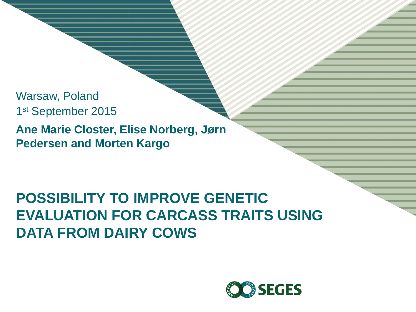Warsaw, Poland 1 st September 2015

**Ane Marie Closter, Elise Norberg, Jørn Pedersen and Morten Kargo**

#### **POSSIBILITY TO IMPROVE GENETIC EVALUATION FOR CARCASS TRAITS USING DATA FROM DAIRY COWS**

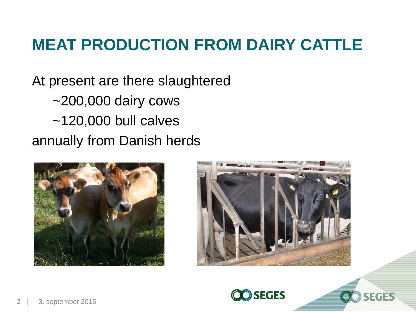### **MEAT PRODUCTION FROM DAIRY CATTLE**

At present are there slaughtered ~200,000 dairy cows ~120,000 bull calves annually from Danish herds







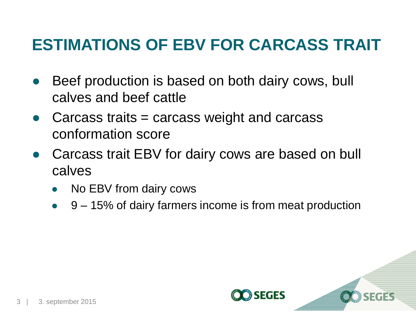### **ESTIMATIONS OF EBV FOR CARCASS TRAIT**

- Beef production is based on both dairy cows, bull calves and beef cattle
- Carcass traits  $=$  carcass weight and carcass conformation score
- Carcass trait EBV for dairy cows are based on bull calves
	- No EBV from dairy cows
	- 9 15% of dairy farmers income is from meat production

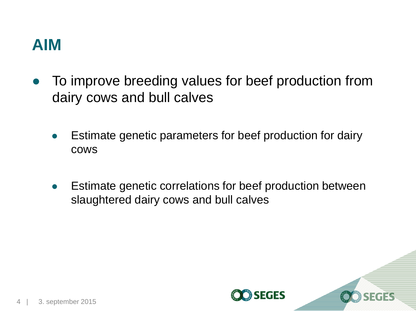#### **AIM**

- To improve breeding values for beef production from dairy cows and bull calves
	- Estimate genetic parameters for beef production for dairy cows
	- Estimate genetic correlations for beef production between slaughtered dairy cows and bull calves

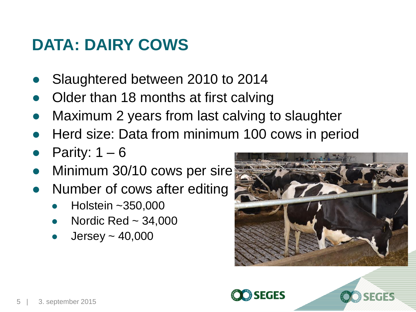#### **DATA: DAIRY COWS**

- Slaughtered between 2010 to 2014
- Older than 18 months at first calving
- Maximum 2 years from last calving to slaughter
- Herd size: Data from minimum 100 cows in period
- Parity:  $1 6$
- Minimum 30/10 cows per sire
- Number of cows after editing
	- Holstein ~350,000
	- Nordic Red  $\sim$  34,000
	- Jersey  $\sim$  40,000



SEGES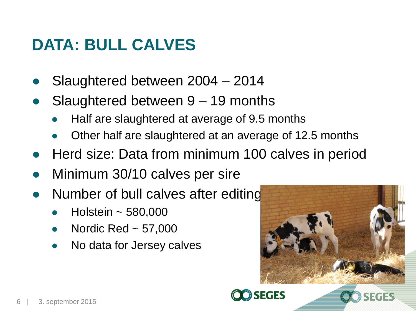#### **DATA: BULL CALVES**

- Slaughtered between 2004 2014
- Slaughtered between  $9 19$  months
	- Half are slaughtered at average of 9.5 months
	- Other half are slaughtered at an average of 12.5 months
- Herd size: Data from minimum 100 calves in period
- Minimum 30/10 calves per sire
- Number of bull calves after editing
	- Holstein  $\sim$  580,000
	- Nordic Red  $\sim$  57,000
	- No data for Jersey calves



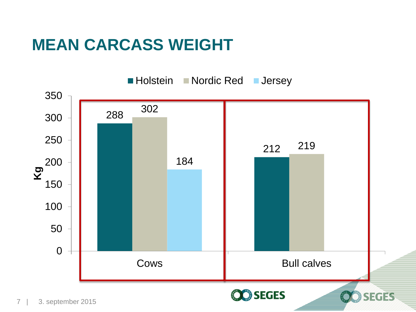#### **MEAN CARCASS WEIGHT**

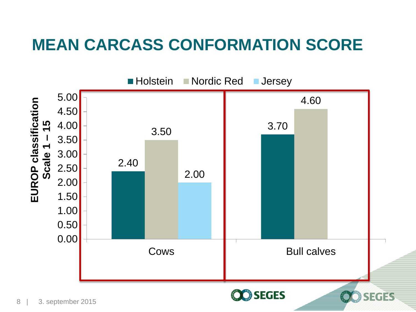#### **MEAN CARCASS CONFORMATION SCORE**

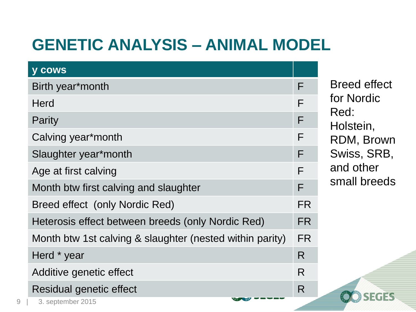## **GENETIC ANALYSIS – ANIMAL MODEL**

| <b>y cows</b>                                            |     |
|----------------------------------------------------------|-----|
| Birth year*month                                         | F   |
| Herd                                                     | F   |
| Parity                                                   | F   |
| Calving year*month                                       |     |
| Slaughter year*month                                     | F   |
| Age at first calving                                     |     |
| Month btw first calving and slaughter                    | F   |
| Breed effect (only Nordic Red)                           | FR. |
| Heterosis effect between breeds (only Nordic Red)        | FR. |
| Month btw 1st calving & slaughter (nested within parity) | FR. |
| Herd * year                                              | R   |
| Additive genetic effect                                  | R   |
| Residual genetic effect                                  | R   |
| 3. september 2015                                        |     |

Breed effect for Nordic Red: Holstein, RDM, Brown Swiss, SRB, and other small breeds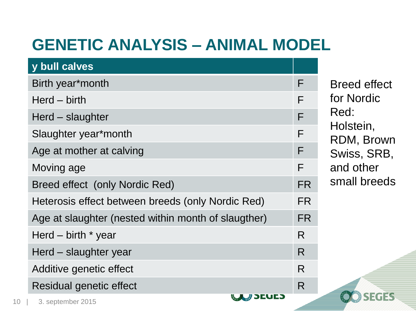## **GENETIC ANALYSIS – ANIMAL MODEL**

| y bull calves                                       |    |
|-----------------------------------------------------|----|
| Birth year*month                                    | F  |
| $\text{Herd} - \text{birth}$                        | F  |
| Herd – slaughter                                    | F  |
| Slaughter year*month                                | F  |
| Age at mother at calving                            | F  |
| Moving age                                          | F  |
| Breed effect (only Nordic Red)                      | FR |
| Heterosis effect between breeds (only Nordic Red)   | FR |
| Age at slaughter (nested within month of slaugther) | FR |
| Herd $-$ birth $*$ year                             | R  |
| Herd – slaughter year                               | R  |
| Additive genetic effect                             | R  |
| Residual genetic effect                             | R  |
| <b>CALC AND JEUI</b><br>3. cantamhar 2015           |    |

Breed effect for Nordic Red: Holstein, RDM, Brown Swiss, SRB, and other small breeds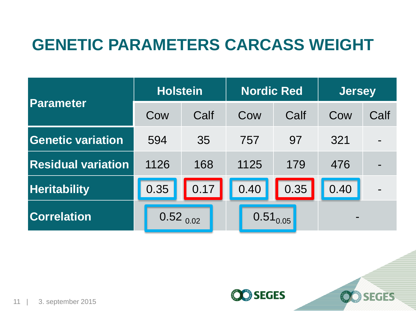#### **GENETIC PARAMETERS CARCASS WEIGHT**

| Parameter                 | <b>Holstein</b> |               |      | <b>Nordic Red</b> | <b>Jersey</b> |      |  |
|---------------------------|-----------------|---------------|------|-------------------|---------------|------|--|
|                           | Cow             | Calf          | Cow  | Calf              | Cow           | Calf |  |
| <b>Genetic variation</b>  | 594             | 35            | 757  | 97                | 321           |      |  |
| <b>Residual variation</b> | 1126            | 168           | 1125 | 179               | 476           |      |  |
| <b>Heritability</b>       | 0.35            | 0.17          | 0.40 | 0.35              | 0.40          |      |  |
| <b>Correlation</b>        |                 | $0.52_{0.02}$ |      | $0.51_{0.05}$     |               |      |  |

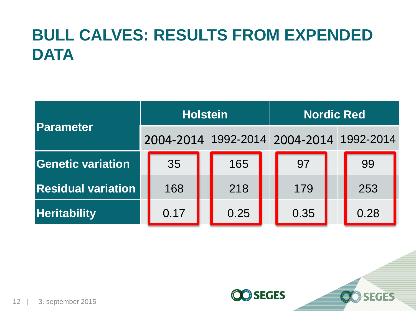# **BULL CALVES: RESULTS FROM EXPENDED DATA**

| Parameter                 |           | <b>Holstein</b> | <b>Nordic Red</b> |                     |  |           |
|---------------------------|-----------|-----------------|-------------------|---------------------|--|-----------|
|                           | 2004-2014 |                 |                   | 1992-2014 2004-2014 |  | 1992-2014 |
| <b>Genetic variation</b>  | 35        |                 | 165               | 97                  |  | 99        |
| <b>Residual variation</b> | 168       |                 | 218               | 179                 |  | 253       |
| <b>Heritability</b>       | 0.17      |                 | 0.25              | 0.35                |  | 0.28      |

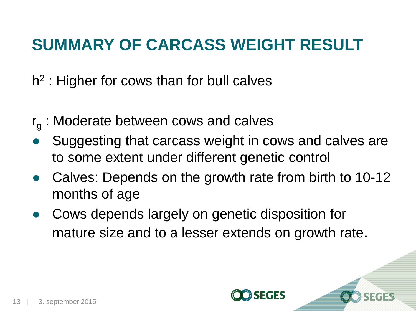## **SUMMARY OF CARCASS WEIGHT RESULT**

h<sup>2</sup> : Higher for cows than for bull calves

- $r_g$  : Moderate between cows and calves
- Suggesting that carcass weight in cows and calves are to some extent under different genetic control
- Calves: Depends on the growth rate from birth to 10-12 months of age
- Cows depends largely on genetic disposition for mature size and to a lesser extends on growth rate.

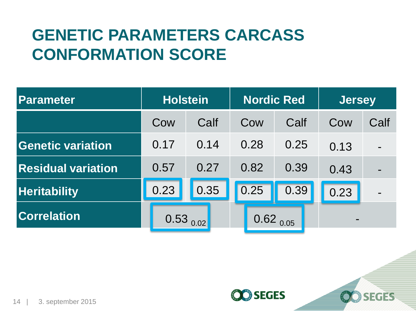## **GENETIC PARAMETERS CARCASS CONFORMATION SCORE**

| Parameter                 |               | <b>Holstein</b> |               | <b>Nordic Red</b> | <b>Jersey</b> |      |  |
|---------------------------|---------------|-----------------|---------------|-------------------|---------------|------|--|
|                           | Cow           | Calf            | Cow           | Calf              | Cow           | Calf |  |
| Genetic variation         | 0.17          | 0.14            | 0.28          | 0.25              | 0.13          |      |  |
| <b>Residual variation</b> | 0.57          | 0.27            | 0.82          | 0.39              | 0.43          |      |  |
| <b>Heritability</b>       | 0.23          | 0.35            | 0.25          | 0.39              | 0.23          |      |  |
| <b>Correlation</b>        | $0.53_{0.02}$ |                 | $0.62_{0.05}$ |                   |               |      |  |

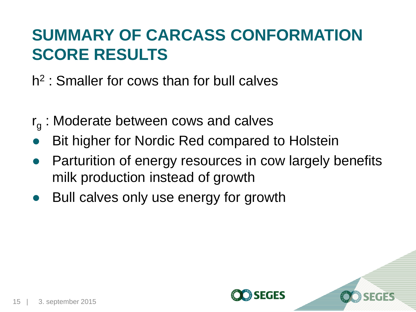## **SUMMARY OF CARCASS CONFORMATION SCORE RESULTS**

h<sup>2</sup>: Smaller for cows than for bull calves

- $r_g$  : Moderate between cows and calves
- Bit higher for Nordic Red compared to Holstein
- Parturition of energy resources in cow largely benefits milk production instead of growth
- Bull calves only use energy for growth